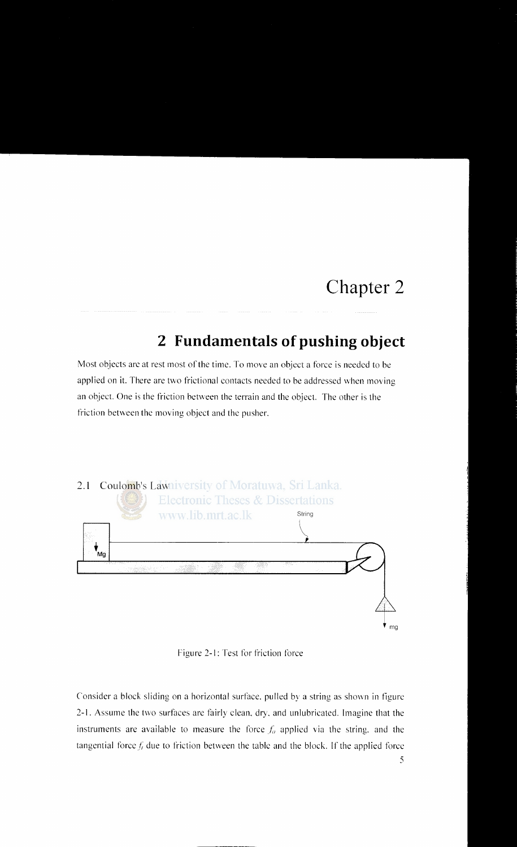# **Chapter** 2

# **2 Fundamentals of pushing object**

Most objects are at rest most of the time. To move an object a force is needed to be applied on it. There are two frictional contacts needed to be addressed when moving an object. One is the friction between the terrain and the object. The other is the friction between the moving object and the pusher.



Figure 2-1: Test for friction force

Consider a block sliding on a horizontal surface. pulled by a string as shown in figure 2-1. Assume the two surfaces are fairly clean. dry. and unlubricated. Imagine that the instruments are available to measure the force  $f_a$  applied via the string, and the tangential force  $f_i$  due to friction between the table and the block. If the applied force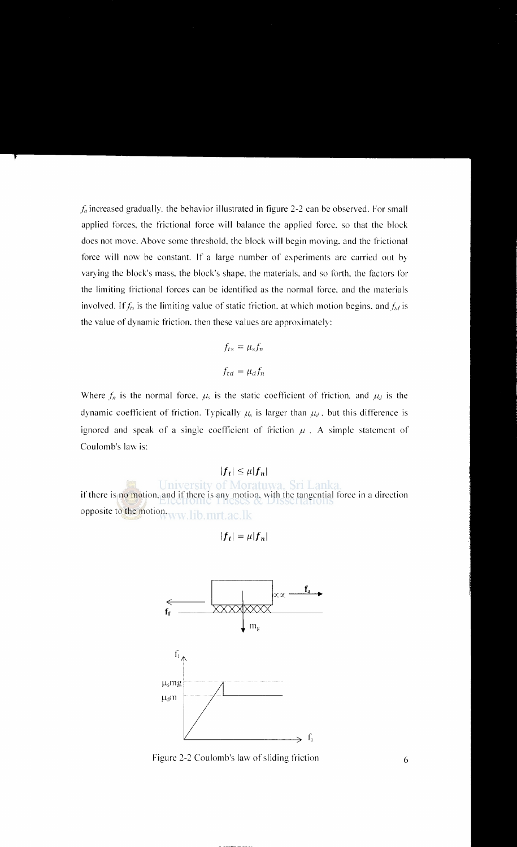$f_a$  increased gradually, the behavior illustrated in figure 2-2 can be observed. For small applied forces, the frictional force will balance the applied force, so that the block does not move. Above some threshold. the block will begin moving. and the frictional force will now be constant. If a large number of experiments are carried out by varying the block's mass. the block's shape. the materials. and so forth. the factors for the limiting frictional forces can be identified as the normal force. and the materials involved. If  $f_{ts}$  is the limiting value of static friction, at which motion begins, and  $f_{td}$  is the value of dynamic friction. then these values are approximately:

$$
f_{ts} = \mu_s f_n
$$

$$
f_{td} = \mu_d f_n
$$

Where  $f_n$  is the normal force.  $\mu_s$  is the static coefficient of friction. and  $\mu_d$  is the dynamic coefficient of friction. Typically  $\mu_s$  is larger than  $\mu_d$ , but this difference is ignored and speak of a single coefficient of friction  $\mu$ , A simple statement of Coulomb's law is:

### $|f_t|\leq \mu |f_n|$

University of Moratuwa, Sri Lanka if there is no motion, and if there is any motion, with the tangential force in a direction opposite to the motion. www.lib.mrt.ac.lk

$$
|f_t| = \mu |f_n|
$$



Figure 2-2 Coulomb's law of sliding friction 6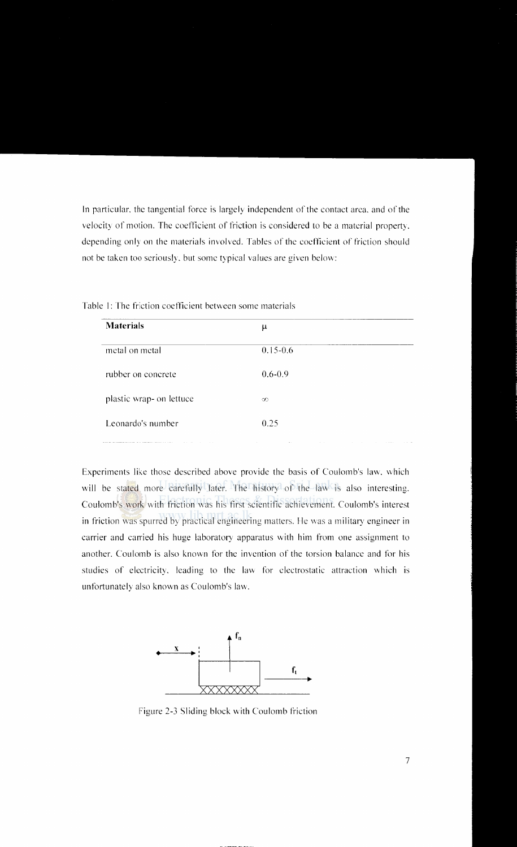In particular, the tangential force is largely independent of the contact area. and of the velocity of motion. The coefficient of friction is considered to be a material property, depending only on the materials involved. Tables of the coefficient of friction should not be taken too seriously, but some typical values are given below:

| <b>Materials</b>         | μ            |
|--------------------------|--------------|
| metal on metal           | $0.15 - 0.6$ |
| rubber on concrete       | $0.6 - 0.9$  |
| plastic wrap- on lettuce | $\infty$     |
| Leonardo's number        | 0.25         |
|                          |              |

Table I: The friction coefficient between some materials

Experiments like those described above provide the basis of Coulomb's law, vvhich will be stated more carefully later. The history of the law is also interesting. Coulomb's work with friction was his first scientific achievement. Coulomb's interest in friction was spurred by practical engineering matters. He was a military engineer in carrier and carried his huge laboratory apparatus with him from one assignment to another. Coulomb is also known for the invention of the torsion balance and for his studies of electricity, leading to the law for electrostatic attraction which is unfortunately also known as Coulomb's law.



Figure 2-3 Sliding block with Coulomb friction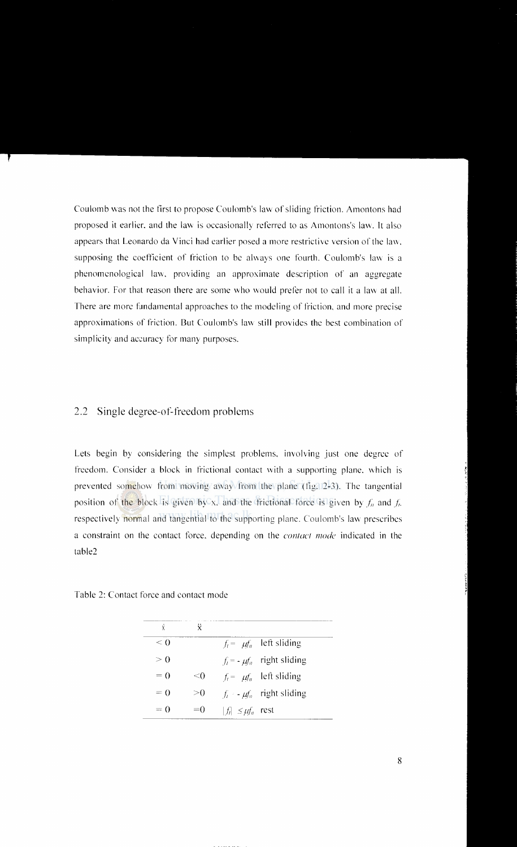Coulomb \Vas not the first to propose Coulomb's law of sliding friction. Amontons had proposed it earlier, and the law is occasionally referred to as Amontons's law. It also appears that Leonardo da Vinci had earlier posed a more restrictive version of the law, supposing the coefficient of friction to be always one fourth. Coulomb's law is a phenomenological lav\. providing an approximate description of an aggregate behavior. For that reason there are some who would prefer not to call it a law at all. There are more fundamental approaches to the modeling of friction. and more precise approximations of friction. But Coulomb's law still provides the best combination of simplicity and accuracy for many purposes.

#### 2.2 Single degree-of-freedom problems

Lets begin by considering the simplest problems. involving just one degree of freedom. Consider a block in frictional contact with a supporting plane. \\ hich is prevented somehow from moving away from the plane (fig. 2-3). The tangential position of the block is given by x, and the frictional force is given by  $f_n$  and  $f_n$ . respectively normal and tangential to the supporting plane. Coulomb's law prescribes a constraint on the contact force. depending on the *contact mode* indicated in the table2

Table 2: Contact force and contact mode

| ý        | Ÿ         |                           |                                |
|----------|-----------|---------------------------|--------------------------------|
| $\leq 0$ |           |                           | $f_i = \mu f_n$ left sliding   |
| > 0      |           |                           | $f_t = -\mu f_n$ right sliding |
| $= 0$    | $\leq 0$  |                           | $f_i = \mu f_n$ left sliding   |
| $= 0$    | $\geq$ (1 |                           | $f_i = \mu f_i$ right sliding  |
| $= 0$    | $=$ ()    | $ f_i  \leq \mu f_n$ rest |                                |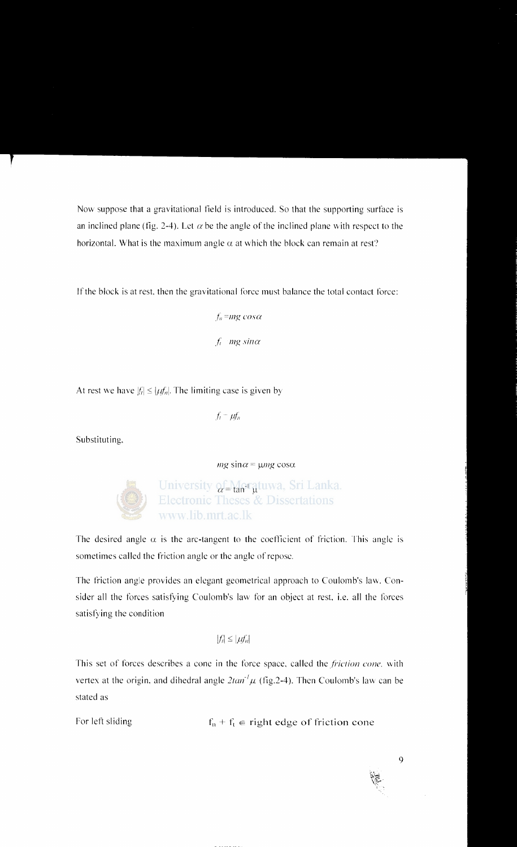Now suppose that a gravitational field is introduced. So that the supporting surface is an inclined plane (fig. 2-4). Let  $\alpha$  be the angle of the inclined plane with respect to the horizontal. What is the maximum angle  $\alpha$  at which the block can remain at rest?

If the block is at rest, then the gravitational force must balance the total contact force:

 $f_n = mg \cos \alpha$  $f_i$  *mg sin* $\alpha$ 

At rest we have  $|f_i| \leq |\mu f_n|$ . The limiting case is given by

 $f_i - \mu f_n$ 

Substituting.

 $mg \sin \alpha = \mu mg \cos \alpha$ 



The desired angle  $\alpha$  is the arc-tangent to the coefficient of friction. This angle is sometimes called the friction angle or the angle of repose.

The friction angle provides an elegant geometrical approach to Coulomb's law. Consider all the forces satisfying Coulomb's law for an object at rest. i.e. all the forces satisfying the condition

$$
|f_i| \leq |\mu f_n|
$$

This set of forces describes a cone in the force space, called the *friction cone*, with vertex at the origin, and dihedral angle  $2tan^{-1}\mu$  (fig. 2-4). Then Coulomb's law can be stated as

For left sliding  $f_n + f_t \in \text{right edge of friction cone}$ 

l•t..  $\sim$ \f:·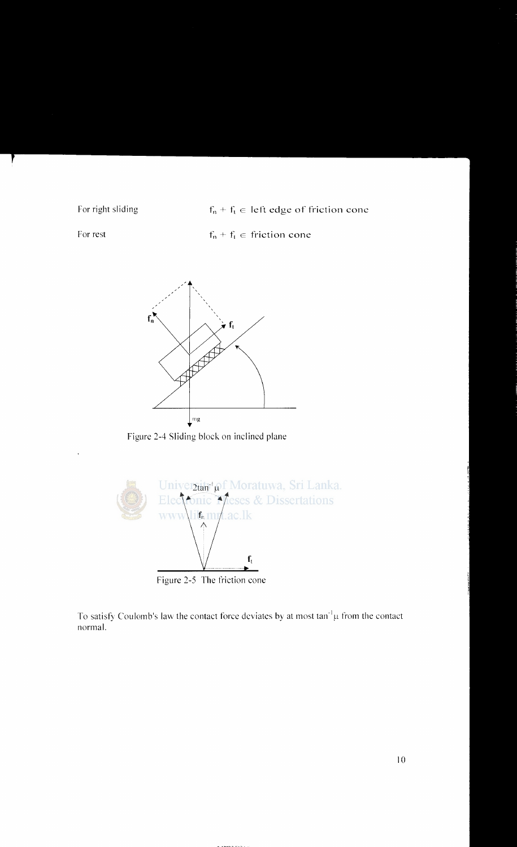For right sliding  $f_n + f_1 \in$  left edge of friction cone

For rest

 $f_n + f_1 \in$  friction cone



Figure 2-4 Sliding block on inclined plane



Figure 2-5 The friction cone

To satisfy Coulomb's law the contact force deviates by at most  $tan^{-1}\mu$  from the contact normal.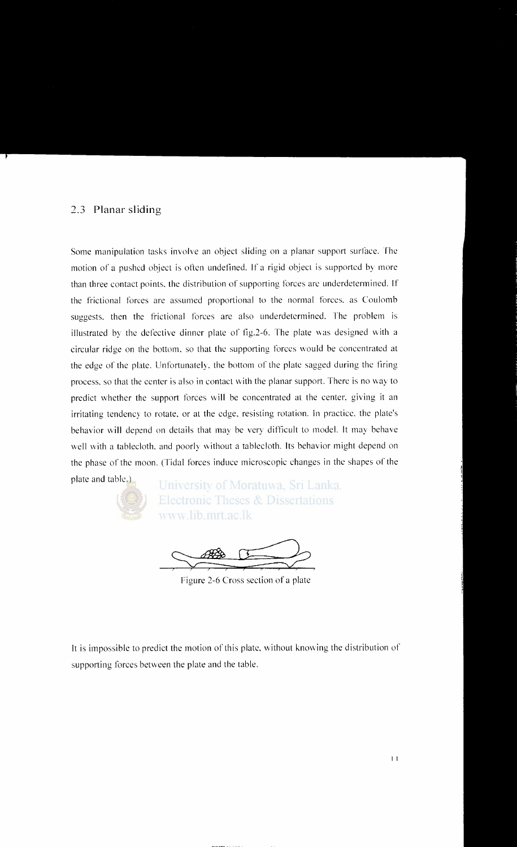#### 2.3 **Planar sliding**

Some manipulation tasks involve an object sliding on a planar support surface. The motion of a pushed object is often undefined. If a rigid object is supported by more than three contact points. the distribution of supporting forces arc underdetennined. If the frictional forces are assumed proportional to the normal forces. as Coulomb suggests, then the frictional forces are also underdetermined. The problem is illustrated by the defective dinner plate of fig.  $2-6$ . The plate was designed with a circular ridge on the bottom, so that the supporting forces would be concentrated at the edge of the plate. Unfortunately. the bottom of the plate sagged during the tiring process, so that the center is also in contact with the planar support. There is no way to predict whether the support forces will be concentrated at the center, giving it an irritating tendency to rotate. or at the edge. resisting rotation. In practice. the plate's behavior **\viii** depend on details that may be very difficult to model. It may behave well with a tablecloth. and poorly without a tablecloth. Its behavior might depend on the phase of the moon. (Tidal forces induce microscopic changes in the shapes of the

plate and table.)

University of Moratuwa, Sri Lanka. **Electronic Theses & Dissertations** www.lib.mrt.ac.lk

Figure 2-6 Cross section of a plate

It is impossible to predict the motion of this plate. \vithout knowing the distribution of supporting forces between the plate and the table.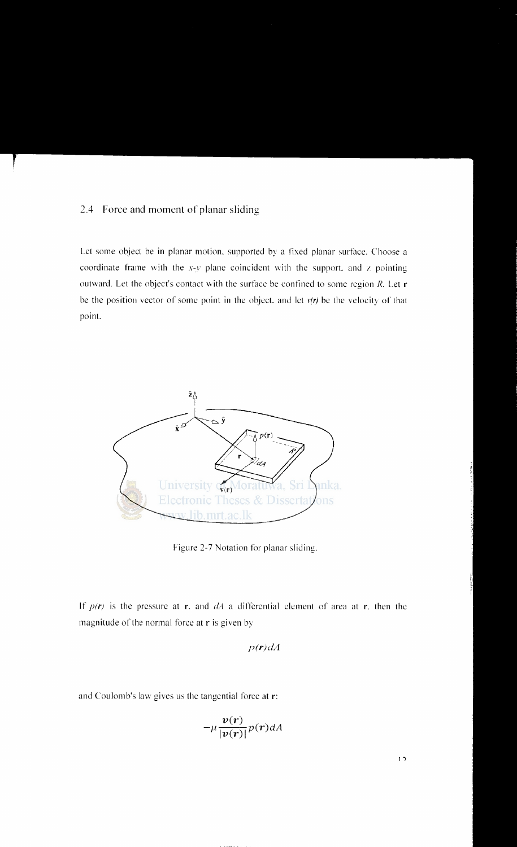#### 2.4 Force and moment of planar sliding

Let some object be in planar motion, supported by a fixed planar surface. Choose a coordinate frame with the  $x-y$  plane coincident with the support, and z pointing outward. Let the object's contact with the surface be confined to some region  $R$ . Let  $r$ be the position vector of some point in the object, and let  $v(r)$  be the velocity of that point.



Figure 2-7 Notation for planar sliding.

If  $p(r)$  is the pressure at r, and  $dA$  a differential element of area at r, then the magnitude of the normal force at r is given by

$$
p(\mathbf{r})dA
$$

and Coulomb's law gives us the tangential force at r:

$$
-\mu \frac{v(r)}{|v(r)|} p(r) dA
$$

 $12$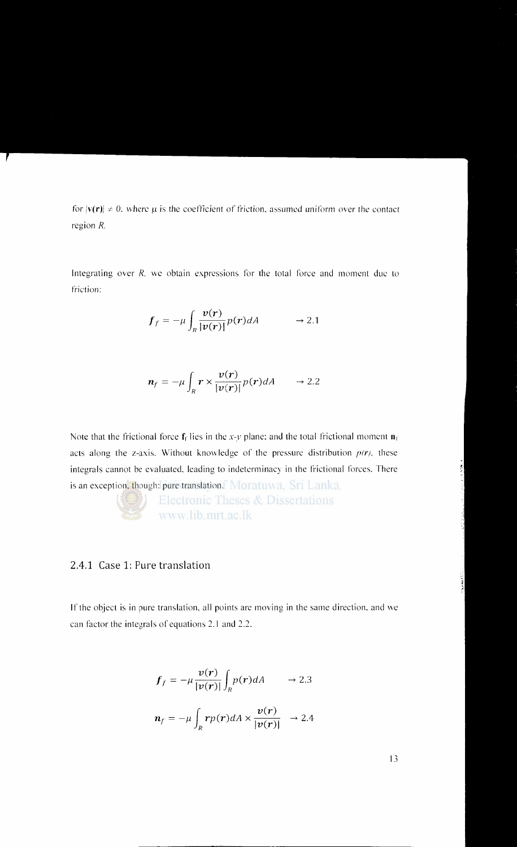for  $|v(r)| \neq 0$ , where  $\mu$  is the coefficient of friction, assumed uniform over the contact region R.

Integrating over *R.* we obtain expressions for the total force and moment due to friction:

$$
\boldsymbol{f}_f = -\mu \int_R \frac{\boldsymbol{v}(\boldsymbol{r})}{|\boldsymbol{v}(\boldsymbol{r})|} p(\boldsymbol{r}) dA \qquad \rightarrow 2.1
$$

$$
\boldsymbol{n}_f = -\mu \int_R \boldsymbol{r} \times \frac{\boldsymbol{v}(\boldsymbol{r})}{|\boldsymbol{v}(\boldsymbol{r})|} p(\boldsymbol{r}) dA \qquad \rightarrow 2.2
$$

Note that the frictional force  $f_f$  lies in the *x-y* plane; and the total frictional moment  $\mathbf{n}_f$ acts along the z-axis. Without knowledge of the pressure distribution  $p(r)$ , these integrals cannot be evaluated. leading to indeterminacy in the frictional forces. There is an exception, though: pure translation. Moratuwa, Sri Lanka.

> **Electronic Theses & Dissertations** www.lib.mrt.ac.lk

#### 2.4.1 Case 1: Pure translation

If the object is in pure translation, all points are moving in the same direction, and we can factor the integrals of equations 2.1 and 2.2.

$$
f_f = -\mu \frac{v(r)}{|v(r)|} \int_R p(r) dA \qquad \to 2.3
$$

$$
\boldsymbol{n}_f = -\mu \int_R r p(\boldsymbol{r}) dA \times \frac{\boldsymbol{v}(\boldsymbol{r})}{|\boldsymbol{v}(\boldsymbol{r})|} \rightarrow 2.4
$$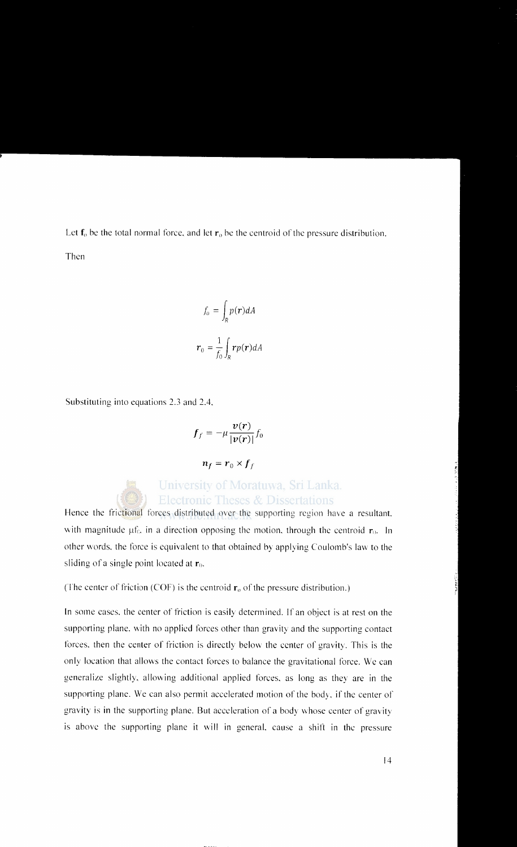Let  $f_0$  be the total normal force, and let  $r_0$  be the centroid of the pressure distribution. Then

$$
f_o = \int_R p(\mathbf{r}) dA
$$

$$
\mathbf{r}_0 = \frac{1}{f_0} \int_R r p(\mathbf{r}) dA
$$

Substituting into equations 2.3 and 2.4.

$$
\boldsymbol{f}_f = -\mu \frac{\boldsymbol{v}(\boldsymbol{r})}{|\boldsymbol{v}(\boldsymbol{r})|} f_0
$$

 $n_f = r_0 \times f_f$ 

## University of Moratuwa, Sri Lanka. **Electronic Theses & Dissertations**

Hence the frictional forces distributed over the supporting region have a resultant. with magnitude  $\mu f_0$ , in a direction opposing the motion, through the centroid  $r_0$ . In other words. the force is equivalent to that obtained by applying Coulomb's law to the sliding of a single point located at  $r_0$ .

(The center of friction (COF) is the centroid  $\mathbf{r}_0$  of the pressure distribution.)

In some cases, the center of friction is easily determined. If an object is at rest on the supporting plane. with no applied forces other than gravity and the supporting contact forces, then the center of friction is directly below the center of gravity. This is the only location that allows the contact forces to balance the gravitational force. We can generalize slightly. allowing additional applied forces. as long as they are in the supporting plane. We can also permit accelerated motion of the body, if the center of gravity is in the supporting plane. But acceleration of a body whose center of gravity is above the supporting plane it will in general. cause a shift in the pressure